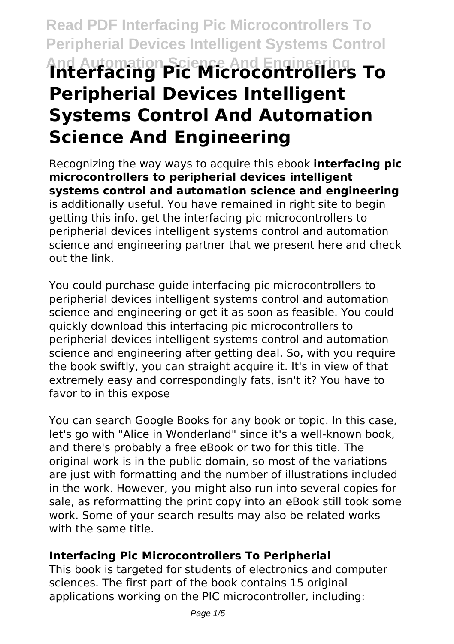# **Read PDF Interfacing Pic Microcontrollers To Peripherial Devices Intelligent Systems Control And Automation Science And Engineering Interfacing Pic Microcontrollers To Peripherial Devices Intelligent Systems Control And Automation Science And Engineering**

Recognizing the way ways to acquire this ebook **interfacing pic microcontrollers to peripherial devices intelligent systems control and automation science and engineering** is additionally useful. You have remained in right site to begin getting this info. get the interfacing pic microcontrollers to peripherial devices intelligent systems control and automation science and engineering partner that we present here and check out the link.

You could purchase guide interfacing pic microcontrollers to peripherial devices intelligent systems control and automation science and engineering or get it as soon as feasible. You could quickly download this interfacing pic microcontrollers to peripherial devices intelligent systems control and automation science and engineering after getting deal. So, with you require the book swiftly, you can straight acquire it. It's in view of that extremely easy and correspondingly fats, isn't it? You have to favor to in this expose

You can search Google Books for any book or topic. In this case, let's go with "Alice in Wonderland" since it's a well-known book, and there's probably a free eBook or two for this title. The original work is in the public domain, so most of the variations are just with formatting and the number of illustrations included in the work. However, you might also run into several copies for sale, as reformatting the print copy into an eBook still took some work. Some of your search results may also be related works with the same title.

# **Interfacing Pic Microcontrollers To Peripherial**

This book is targeted for students of electronics and computer sciences. The first part of the book contains 15 original applications working on the PIC microcontroller, including: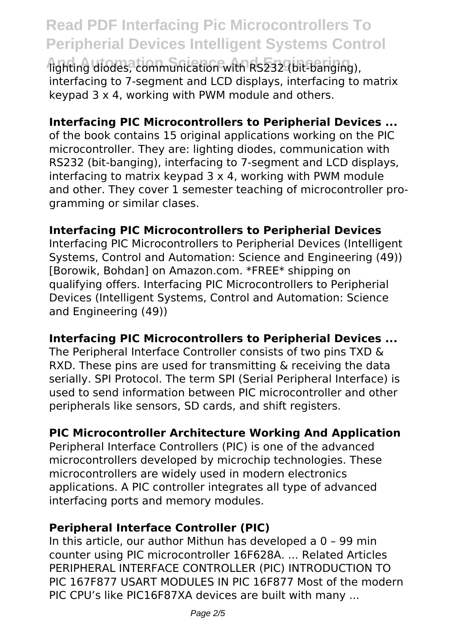# **Read PDF Interfacing Pic Microcontrollers To Peripherial Devices Intelligent Systems Control**

**And Automation Science And Engineering** lighting diodes, communication with RS232 (bit-banging), interfacing to 7-segment and LCD displays, interfacing to matrix keypad 3 x 4, working with PWM module and others.

#### **Interfacing PIC Microcontrollers to Peripherial Devices ...**

of the book contains 15 original applications working on the PIC microcontroller. They are: lighting diodes, communication with RS232 (bit-banging), interfacing to 7-segment and LCD displays, interfacing to matrix keypad 3 x 4, working with PWM module and other. They cover 1 semester teaching of microcontroller programming or similar clases.

#### **Interfacing PIC Microcontrollers to Peripherial Devices**

Interfacing PIC Microcontrollers to Peripherial Devices (Intelligent Systems, Control and Automation: Science and Engineering (49)) [Borowik, Bohdan] on Amazon.com. \*FREE\* shipping on qualifying offers. Interfacing PIC Microcontrollers to Peripherial Devices (Intelligent Systems, Control and Automation: Science and Engineering (49))

# **Interfacing PIC Microcontrollers to Peripherial Devices ...**

The Peripheral Interface Controller consists of two pins TXD & RXD. These pins are used for transmitting & receiving the data serially. SPI Protocol. The term SPI (Serial Peripheral Interface) is used to send information between PIC microcontroller and other peripherals like sensors, SD cards, and shift registers.

# **PIC Microcontroller Architecture Working And Application**

Peripheral Interface Controllers (PIC) is one of the advanced microcontrollers developed by microchip technologies. These microcontrollers are widely used in modern electronics applications. A PIC controller integrates all type of advanced interfacing ports and memory modules.

#### **Peripheral Interface Controller (PIC)**

In this article, our author Mithun has developed a 0 – 99 min counter using PIC microcontroller 16F628A. ... Related Articles PERIPHERAL INTERFACE CONTROLLER (PIC) INTRODUCTION TO PIC 167F877 USART MODULES IN PIC 16F877 Most of the modern PIC CPU's like PIC16F87XA devices are built with many ...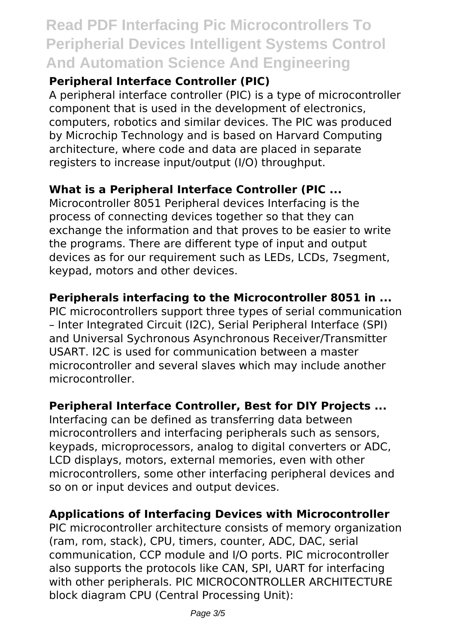# **Read PDF Interfacing Pic Microcontrollers To Peripherial Devices Intelligent Systems Control And Automation Science And Engineering**

# **Peripheral Interface Controller (PIC)**

A peripheral interface controller (PIC) is a type of microcontroller component that is used in the development of electronics, computers, robotics and similar devices. The PIC was produced by Microchip Technology and is based on Harvard Computing architecture, where code and data are placed in separate registers to increase input/output (I/O) throughput.

# **What is a Peripheral Interface Controller (PIC ...**

Microcontroller 8051 Peripheral devices Interfacing is the process of connecting devices together so that they can exchange the information and that proves to be easier to write the programs. There are different type of input and output devices as for our requirement such as LEDs, LCDs, 7segment, keypad, motors and other devices.

# **Peripherals interfacing to the Microcontroller 8051 in ...**

PIC microcontrollers support three types of serial communication – Inter Integrated Circuit (I2C), Serial Peripheral Interface (SPI) and Universal Sychronous Asynchronous Receiver/Transmitter USART. I2C is used for communication between a master microcontroller and several slaves which may include another microcontroller.

# **Peripheral Interface Controller, Best for DIY Projects ...**

Interfacing can be defined as transferring data between microcontrollers and interfacing peripherals such as sensors, keypads, microprocessors, analog to digital converters or ADC, LCD displays, motors, external memories, even with other microcontrollers, some other interfacing peripheral devices and so on or input devices and output devices.

# **Applications of Interfacing Devices with Microcontroller**

PIC microcontroller architecture consists of memory organization (ram, rom, stack), CPU, timers, counter, ADC, DAC, serial communication, CCP module and I/O ports. PIC microcontroller also supports the protocols like CAN, SPI, UART for interfacing with other peripherals. PIC MICROCONTROLLER ARCHITECTURE block diagram CPU (Central Processing Unit):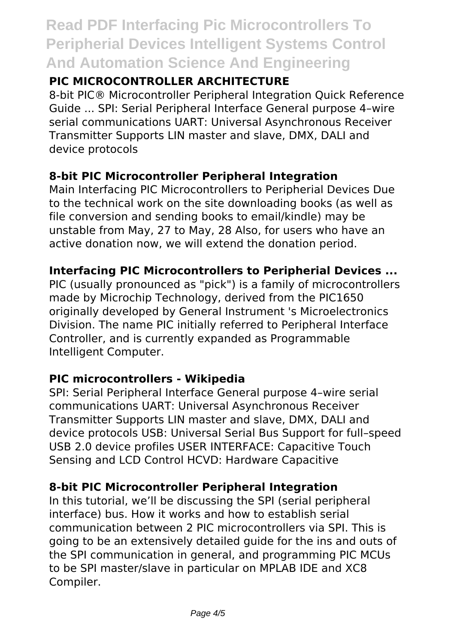# **Read PDF Interfacing Pic Microcontrollers To Peripherial Devices Intelligent Systems Control And Automation Science And Engineering**

# **PIC MICROCONTROLLER ARCHITECTURE**

8-bit PIC® Microcontroller Peripheral Integration Quick Reference Guide ... SPI: Serial Peripheral Interface General purpose 4–wire serial communications UART: Universal Asynchronous Receiver Transmitter Supports LIN master and slave, DMX, DALI and device protocols

# **8-bit PIC Microcontroller Peripheral Integration**

Main Interfacing PIC Microcontrollers to Peripherial Devices Due to the technical work on the site downloading books (as well as file conversion and sending books to email/kindle) may be unstable from May, 27 to May, 28 Also, for users who have an active donation now, we will extend the donation period.

# **Interfacing PIC Microcontrollers to Peripherial Devices ...**

PIC (usually pronounced as "pick") is a family of microcontrollers made by Microchip Technology, derived from the PIC1650 originally developed by General Instrument 's Microelectronics Division. The name PIC initially referred to Peripheral Interface Controller, and is currently expanded as Programmable Intelligent Computer.

# **PIC microcontrollers - Wikipedia**

SPI: Serial Peripheral Interface General purpose 4–wire serial communications UART: Universal Asynchronous Receiver Transmitter Supports LIN master and slave, DMX, DALI and device protocols USB: Universal Serial Bus Support for full–speed USB 2.0 device profiles USER INTERFACE: Capacitive Touch Sensing and LCD Control HCVD: Hardware Capacitive

# **8-bit PIC Microcontroller Peripheral Integration**

In this tutorial, we'll be discussing the SPI (serial peripheral interface) bus. How it works and how to establish serial communication between 2 PIC microcontrollers via SPI. This is going to be an extensively detailed guide for the ins and outs of the SPI communication in general, and programming PIC MCUs to be SPI master/slave in particular on MPLAB IDE and XC8 Compiler.